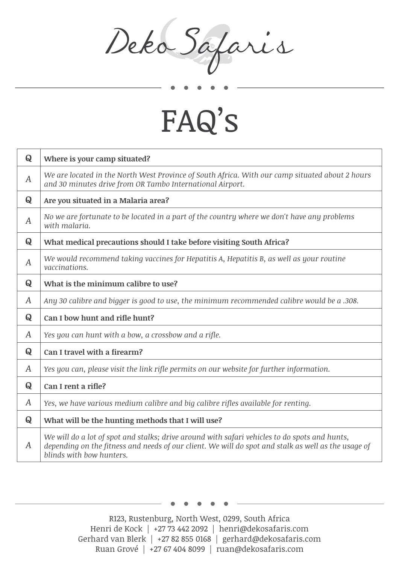Deka Safaris

## FAQ's

| Q | Where is your camp situated?                                                                                                                                                                                                     |
|---|----------------------------------------------------------------------------------------------------------------------------------------------------------------------------------------------------------------------------------|
| A | We are located in the North West Province of South Africa. With our camp situated about 2 hours<br>and 30 minutes drive from OR Tambo International Airport.                                                                     |
| Q | Are you situated in a Malaria area?                                                                                                                                                                                              |
| A | No we are fortunate to be located in a part of the country where we don't have any problems<br>with malaria.                                                                                                                     |
| Q | What medical precautions should I take before visiting South Africa?                                                                                                                                                             |
| A | We would recommend taking vaccines for Hepatitis A, Hepatitis B, as well as your routine<br>vaccinations.                                                                                                                        |
| Q | What is the minimum calibre to use?                                                                                                                                                                                              |
| A | Any 30 calibre and bigger is good to use, the minimum recommended calibre would be a .308.                                                                                                                                       |
| Q | Can I bow hunt and rifle hunt?                                                                                                                                                                                                   |
| A | Yes you can hunt with a bow, a crossbow and a rifle.                                                                                                                                                                             |
| Q | Can I travel with a firearm?                                                                                                                                                                                                     |
| A | Yes you can, please visit the link rifle permits on our website for further information.                                                                                                                                         |
| Q | Can I rent a rifle?                                                                                                                                                                                                              |
| A | Yes, we have various medium calibre and big calibre rifles available for renting.                                                                                                                                                |
| Q | What will be the hunting methods that I will use?                                                                                                                                                                                |
| A | We will do a lot of spot and stalks; drive around with safari vehicles to do spots and hunts,<br>depending on the fitness and needs of our client. We will do spot and stalk as well as the usage of<br>blinds with bow hunters. |

R123, Rustenburg, North West, 0299, South Africa Henri de Kock | +27 73 442 2092 | henri@dekosafaris.com Gerhard van Blerk | +27 82 855 0168 | gerhard@dekosafaris.com Ruan Grové | +27 67 404 8099 | ruan@dekosafaris.com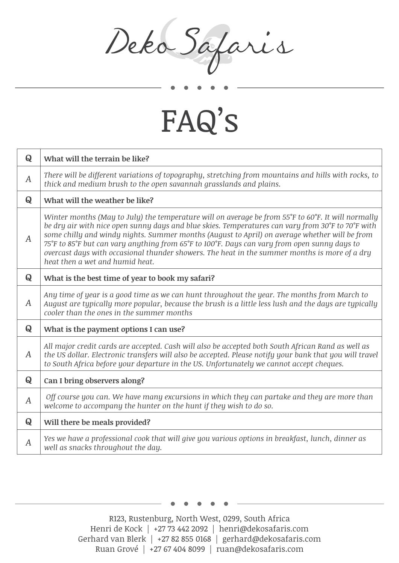Deka Safaris

## FAQ's

| Q                | What will the terrain be like?                                                                                                                                                                                                                                                                                                                                                                                                                                                                                                               |
|------------------|----------------------------------------------------------------------------------------------------------------------------------------------------------------------------------------------------------------------------------------------------------------------------------------------------------------------------------------------------------------------------------------------------------------------------------------------------------------------------------------------------------------------------------------------|
| $\boldsymbol{A}$ | There will be different variations of topography, stretching from mountains and hills with rocks, to<br>thick and medium brush to the open savannah grasslands and plains.                                                                                                                                                                                                                                                                                                                                                                   |
| Q                | What will the weather be like?                                                                                                                                                                                                                                                                                                                                                                                                                                                                                                               |
| A                | Winter months (May to July) the temperature will on average be from 55°F to 60°F. It will normally<br>be dry air with nice open sunny days and blue skies. Temperatures can vary from 30°F to 70°F with<br>some chilly and windy nights. Summer months (August to April) on average whether will be from<br>75°F to 85°F but can vary anything from 65°F to 100°F. Days can vary from open sunny days to<br>overcast days with occasional thunder showers. The heat in the summer months is more of a dry<br>heat then a wet and humid heat. |
| Q                | What is the best time of year to book my safari?                                                                                                                                                                                                                                                                                                                                                                                                                                                                                             |
| A                | Any time of year is a good time as we can hunt throughout the year. The months from March to<br>August are typically more popular, because the brush is a little less lush and the days are typically<br>cooler than the ones in the summer months                                                                                                                                                                                                                                                                                           |
| Q                | What is the payment options I can use?                                                                                                                                                                                                                                                                                                                                                                                                                                                                                                       |
| A                | All major credit cards are accepted. Cash will also be accepted both South African Rand as well as<br>the US dollar. Electronic transfers will also be accepted. Please notify your bank that you will travel<br>to South Africa before your departure in the US. Unfortunately we cannot accept cheques.                                                                                                                                                                                                                                    |
| Q                | Can I bring observers along?                                                                                                                                                                                                                                                                                                                                                                                                                                                                                                                 |
| A                | Off course you can. We have many excursions in which they can partake and they are more than<br>welcome to accompany the hunter on the hunt if they wish to do so.                                                                                                                                                                                                                                                                                                                                                                           |
| Q                | Will there be meals provided?                                                                                                                                                                                                                                                                                                                                                                                                                                                                                                                |
| $\boldsymbol{A}$ | Yes we have a professional cook that will give you various options in breakfast, lunch, dinner as<br>well as snacks throughout the day.                                                                                                                                                                                                                                                                                                                                                                                                      |